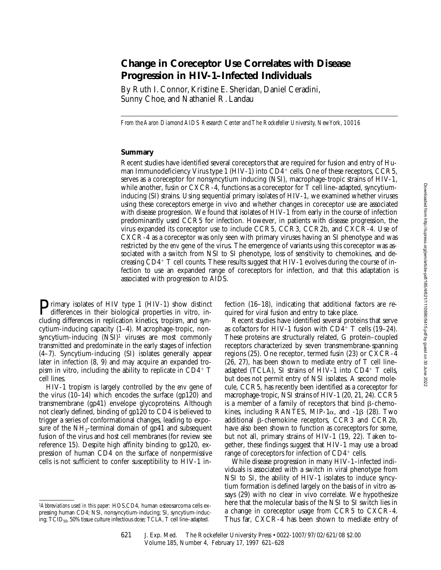# **Change in Coreceptor Use Correlates with Disease Progression in HIV-1–Infected Individuals**

By Ruth I. Connor, Kristine E. Sheridan, Daniel Ceradini, Sunny Choe, and Nathaniel R. Landau

*From the Aaron Diamond AIDS Research Center and The Rockefeller University, New York, 10016*

#### **Summary**

Recent studies have identified several coreceptors that are required for fusion and entry of Human Immunodeficiency Virus type 1 (HIV-1) into  $CD4^+$  cells. One of these receptors, CCR5, serves as a coreceptor for nonsyncytium inducing (NSI), macrophage-tropic strains of HIV-1, while another, fusin or CXCR-4, functions as a coreceptor for T cell line–adapted, syncytiuminducing (SI) strains. Using sequential primary isolates of HIV-1, we examined whether viruses using these coreceptors emerge in vivo and whether changes in coreceptor use are associated with disease progression. We found that isolates of HIV-1 from early in the course of infection predominantly used CCR5 for infection. However, in patients with disease progression, the virus expanded its coreceptor use to include CCR5, CCR3, CCR2b, and CXCR-4. Use of CXCR-4 as a coreceptor was only seen with primary viruses having an SI phenotype and was restricted by the *env* gene of the virus. The emergence of variants using this coreceptor was associated with a switch from NSI to SI phenotype, loss of sensitivity to chemokines, and decreasing  $CD4^+$  T cell counts. These results suggest that HIV-1 evolves during the course of infection to use an expanded range of coreceptors for infection, and that this adaptation is associated with progression to AIDS.

**P**rimary isolates of HIV type 1 (HIV-1) show distinct differences in their biological properties in vitro, including differences in replication kinetics, tropism, and syncytium-inducing capacity (1–4). Macrophage-tropic, nonsyncytium-inducing (NSI)<sup>1</sup> viruses are most commonly transmitted and predominate in the early stages of infection (4–7). Syncytium-inducing (SI) isolates generally appear later in infection (8, 9) and may acquire an expanded tropism in vitro, including the ability to replicate in  $CD4^+$  T cell lines.

HIV-1 tropism is largely controlled by the *env* gene of the virus (10–14) which encodes the surface (gp120) and transmembrane (gp41) envelope glycoproteins. Although not clearly defined, binding of gp120 to CD4 is believed to trigger a series of conformational changes, leading to exposure of the  $NH_2$ -terminal domain of gp41 and subsequent fusion of the virus and host cell membranes (for review see reference 15). Despite high affinity binding to gp120, expression of human CD4 on the surface of nonpermissive cells is not sufficient to confer susceptibility to HIV-1 infection (16–18), indicating that additional factors are required for viral fusion and entry to take place.

Recent studies have identified several proteins that serve as cofactors for HIV-1 fusion with  $CD4^+$  T cells (19–24). These proteins are structurally related, G protein–coupled receptors characterized by seven transmembrane-spanning regions (25). One receptor, termed fusin (23) or CXCR-4  $(26, 27)$ , has been shown to mediate entry of T cell line– adapted (TCLA), SI strains of HIV-1 into  $CD4^+$  T cells, but does not permit entry of NSI isolates. A second molecule, CCR5, has recently been identified as a coreceptor for macrophage-tropic, NSI strains of HIV-1 (20, 21, 24). CCR5 is a member of a family of receptors that bind  $\beta$ -chemokines, including RANTES, MIP-1 $\alpha$ , and -1 $\beta$  (28). Two additional  $\beta$ -chemokine receptors, CCR3 and CCR2b, have also been shown to function as coreceptors for some, but not all, primary strains of HIV-1 (19, 22). Taken together, these findings suggest that HIV-1 may use a broad range of coreceptors for infection of  $CD4^+$  cells.

While disease progression in many HIV-1–infected individuals is associated with a switch in viral phenotype from NSI to SI, the ability of HIV-1 isolates to induce syncytium formation is defined largely on the basis of in vitro assays (29) with no clear in vivo correlate. We hypothesize here that the molecular basis of the NSI to SI switch lies in a change in coreceptor usage from CCR5 to CXCR-4. Thus far, CXCR-4 has been shown to mediate entry of

<sup>1</sup>*Abbreviations used in this paper:* HOS.CD4, human osteosarcoma cells expressing human CD4; NSI, nonsyncytium-inducing; SI, syncytium-inducing; TCID<sub>50</sub>, 50% tissue culture infectious dose; TCLA, T cell line–adapted.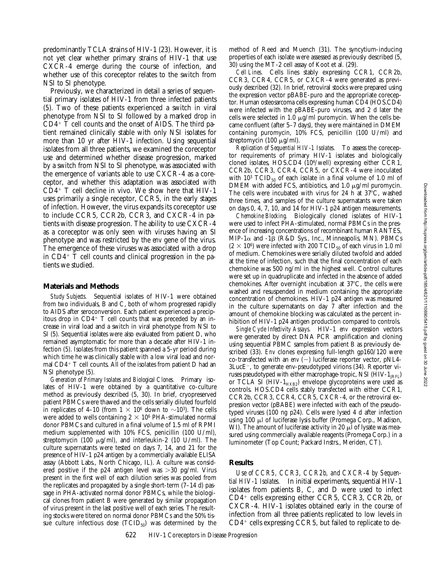predominantly TCLA strains of HIV-1 (23). However, it is not yet clear whether primary strains of HIV-1 that use CXCR-4 emerge during the course of infection, and whether use of this coreceptor relates to the switch from NSI to SI phenotype.

Previously, we characterized in detail a series of sequential primary isolates of HIV-1 from three infected patients (5). Two of these patients experienced a switch in viral phenotype from NSI to SI followed by a marked drop in  $CD4$ <sup>+</sup> T cell counts and the onset of AIDS. The third patient remained clinically stable with only NSI isolates for more than 10 yr after HIV-1 infection. Using sequential isolates from all three patients, we examined the coreceptor use and determined whether disease progression, marked by a switch from NSI to SI phenotype, was associated with the emergence of variants able to use CXCR-4 as a coreceptor, and whether this adaptation was associated with  $CD4^+$  T cell decline in vivo. We show here that HIV-1 uses primarily a single receptor, CCR5, in the early stages of infection. However, the virus expands its coreceptor use to include CCR5, CCR2b, CCR3, and CXCR-4 in patients with disease progression. The ability to use CXCR-4 as a coreceptor was only seen with viruses having an SI phenotype and was restricted by the *env* gene of the virus. The emergence of these viruses was associated with a drop in  $CD4^+$  T cell counts and clinical progression in the patients we studied.

#### **Materials and Methods**

*Study Subjects.* Sequential isolates of HIV-1 were obtained from two individuals, B and C, both of whom progressed rapidly to AIDS after seroconversion. Each patient experienced a precipitous drop in  $CD4+T$  cell counts that was preceded by an increase in viral load and a switch in viral phenotype from NSI to SI (5). Sequential isolates were also evaluated from patient D, who remained asymptomatic for more than a decade after HIV-1 infection (5). Isolates from this patient spanned a 5-yr period during which time he was clinically stable with a low viral load and normal  $CD4+T$  cell counts. All of the isolates from patient D had an NSI phenotype (5).

*Generation of Primary Isolates and Biological Clones.* Primary isolates of HIV-1 were obtained by a quantitative co-culture method as previously described (5, 30). In brief, cryopreserved patient PBMCs were thawed and the cells serially diluted fourfold in replicates of 4–10 (from  $1 \times 10^6$  down to  $\sim$ 10<sup>3</sup>). The cells were added to wells containing  $2 \times 10^6$  PHA-stimulated normal donor PBMCs and cultured in a final volume of 1.5 ml of RPMI medium supplemented with 10% FCS, penicillin (100 U/ml), streptomycin (100  $\mu$ g/ml), and interleukin-2 (10 U/ml). The culture supernatants were tested on days 7, 14, and 21 for the presence of HIV-1 p24 antigen by a commercially available ELISA assay (Abbott Labs., North Chicago, IL). A culture was considered positive if the p24 antigen level was  $>$ 30 pg/ml. Virus present in the first well of each dilution series was pooled from the replicates and propagated by a single short-term (7–14 d) passage in PHA-activated normal donor PBMCs, while the biological clones from patient B were generated by similar propagation of virus present in the last positive well of each series. The resulting stocks were titered on normal donor PBMCs and the 50% tissue culture infectious dose  $(TCID_{50})$  was determined by the method of Reed and Muench (31). The syncytium-inducing properties of each isolate were assessed as previously described (5, 30) using the MT-2 cell assay of Koot et al. (29).

*Cell Lines.* Cells lines stably expressing CCR1, CCR2b, CCR3, CCR4, CCR5, or CXCR-4 were generated as previously described (32). In brief, retroviral stocks were prepared using the expression vector pBABE-puro and the appropriate coreceptor. Human osteosarcoma cells expressing human CD4 (HOS.CD4) were infected with the pBABE-puro viruses, and 2 d later the cells were selected in 1.0  $\mu$ g/ml puromycin. When the cells became confluent (after 5–7 days), they were maintained in DMEM containing puromycin, 10% FCS, penicillin (100 U/ml) and streptomycin (100  $\mu$ g/ml).

*Replication of Sequential HIV-1 Isolates.* To assess the coreceptor requirements of primary HIV-1 isolates and biologically cloned isolates, HOS.CD4 (104/well) expressing either CCR1, CCR2b, CCR3, CCR4, CCR5, or CXCR-4 were inoculated with 10<sup>3</sup> TCID<sub>50</sub> of each isolate in a final volume of 1.0 ml of DMEM with added FCS, antibiotics, and 1.0  $\mu$ g/ml puromycin. The cells were incubated with virus for 24 h at  $37^{\circ}$ C, washed three times, and samples of the culture supernatants were taken on days 0, 4, 7, 10, and 14 for HIV-1 p24 antigen measurements.

*Chemokine Blocking.* Biologically cloned isolates of HIV-1 were used to infect PHA-stimulated, normal PBMCs in the presence of increasing concentrations of recombinant human RANTES, MIP-1 $\alpha$  and -1 $\beta$  (R&D Sys., Inc., Minneapolis, MN). PBMCs  $(2 \times 10^6)$  were infected with 200 TCID<sub>50</sub> of each virus in 1.0 ml of medium. Chemokines were serially diluted twofold and added at the time of infection, such that the final concentration of each chemokine was 500 ng/ml in the highest well. Control cultures were set up in quadruplicate and infected in the absence of added chemokines. After overnight incubation at  $37^{\circ}$ C, the cells were washed and resuspended in medium containing the appropriate concentration of chemokines. HIV-1 p24 antigen was measured in the culture supernatants on day 7 after infection and the amount of chemokine blocking was calculated as the percent inhibition of HIV-1 p24 antigen production compared to controls.

*Single Cycle Infectivity Assays.* HIV-1 *env* expression vectors were generated by direct DNA PCR amplification and cloning using sequential PBMC samples from patient B as previously described (33). *Env* clones expressing full-length gp160/120 were co-transfected with an *env*  $(-)$  luciferase reporter vector, pNL4- $3LucE^-$ , to generate env-pseudotyped virions (34). Reporter viruses pseudotyped with either macrophage-tropic, NSI  $(HIV-1_{IRFL})$ or TCLA SI (HIV- $1_{HXB2}$ ) envelope glycoproteins were used as controls. HOS.CD4 cells stably transfected with either CCR1, CCR2b, CCR3, CCR4, CCR5, CXCR-4, or the retroviral expression vector (pBABE) were infected with each of the pseudotyped viruses (100 ng p24). Cells were lysed 4 d after infection using 100 µl of luciferase lysis buffer (Promega Corp., Madison, WI). The amount of luciferase activity in 20  $\mu$ l of lysate was measured using commercially available reagents (Promega Corp.) in a luminometer (Top Count; Packard Instrs., Meriden, CT).

### **Results**

*Use of CCR5, CCR3, CCR2b, and CXCR-4 by Sequential HIV-1 Isolates.* In initial experiments, sequential HIV-1 isolates from patients B, C, and D were used to infect CD4<sup>+</sup> cells expressing either CCR5, CCR3, CCR2b, or CXCR-4. HIV-1 isolates obtained early in the course of infection from all three patients replicated to low levels in  $CD4^+$  cells expressing CCR5, but failed to replicate to de-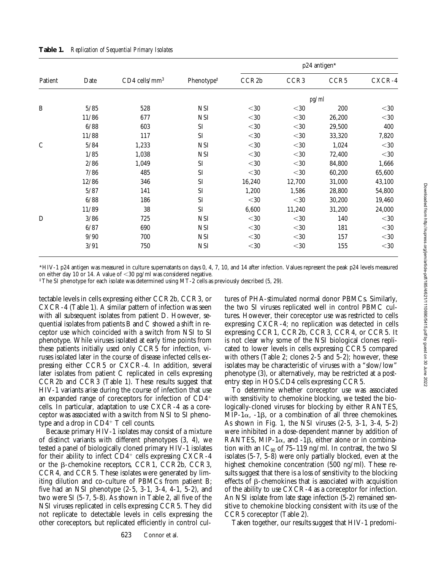| Patient      | Date   | $CD4$ cells/mm <sup>3</sup> | Phenotype <sup>#</sup> | p24 antigen* |                      |        |             |  |
|--------------|--------|-----------------------------|------------------------|--------------|----------------------|--------|-------------|--|
|              |        |                             |                        | CCR2b        | CCR <sub>3</sub>     | CCR5   | CXCR-4      |  |
|              |        |                             |                        |              |                      | pg/ml  |             |  |
| $\, {\bf B}$ | 5/85   | 528                         | NSI                    | $<$ 30       | $<$ 30               | 200    | $<$ 30      |  |
|              | 11/86  | 677                         | <b>NSI</b>             | $<$ 30       | $<$ 30               | 26,200 | $<$ 30      |  |
|              | 6/88   | 603                         | SI                     | $<$ 30       | $<$ 30               | 29,500 | 400         |  |
|              | 11/88  | 117                         | SI                     | $<$ 30       | $<$ 30               | 33,320 | 7,820       |  |
| $\mathsf{C}$ | 5/84   | 1,233                       | <b>NSI</b>             | $<$ 30       | $< \negthinspace 30$ | 1,024  | $<$ 30      |  |
|              | 1/85   | 1,038                       | <b>NSI</b>             | $<$ 30 $\,$  | $< \negthinspace 30$ | 72,400 | $<$ 30 $\,$ |  |
|              | 2/86   | 1,049                       | SI                     | $<$ 30       | $<$ 30               | 84,800 | 1,666       |  |
|              | 7/86   | 485                         | SI                     | $<$ 30       | $<$ 30               | 60,200 | 65,600      |  |
|              | 12/86  | 346                         | SI                     | 16,240       | 12,700               | 31,000 | 43,100      |  |
|              | $5/87$ | 141                         | SI                     | 1,200        | 1,586                | 28,800 | 54,800      |  |
|              | 6/88   | 186                         | SI                     | $<$ 30 $\,$  | $<$ 30               | 30,200 | 19,460      |  |
|              | 11/89  | 38                          | <b>SI</b>              | 6,600        | 11,240               | 31,200 | 24,000      |  |
| D            | 3/86   | 725                         | <b>NSI</b>             | $<$ 30       | $<$ 30               | 140    | $<$ 30      |  |
|              | 6/87   | 690                         | <b>NSI</b>             | $<$ 30       | $<$ 30               | 181    | $<$ 30      |  |
|              | 9/90   | 700                         | NSI                    | $<$ 30       | $<$ 30               | 157    | $<$ 30      |  |
|              | 3/91   | 750                         | <b>NSI</b>             | $<$ 30       | $30$                 | 155    | $<$ 30      |  |

**Table 1.** *Replication of Sequential Primary Isolates*

\*HIV-1 p24 antigen was measured in culture supernatants on days 0, 4, 7, 10, and 14 after infection. Values represent the peak p24 levels measured on either day 10 or 14. A value of  $<$ 30 pg/ml was considered negative.

‡The SI phenotype for each isolate was determined using MT-2 cells as previously described (5, 29).

tectable levels in cells expressing either CCR2b, CCR3, or CXCR-4 (Table 1). A similar pattern of infection was seen with all subsequent isolates from patient D. However, sequential isolates from patients B and C showed a shift in receptor use which coincided with a switch from NSI to SI phenotype. While viruses isolated at early time points from these patients initially used only CCR5 for infection, viruses isolated later in the course of disease infected cells expressing either CCR5 or CXCR-4. In addition, several later isolates from patient C replicated in cells expressing CCR2b and CCR3 (Table 1). These results suggest that HIV-1 variants arise during the course of infection that use an expanded range of coreceptors for infection of  $CD4<sup>+</sup>$ cells. In particular, adaptation to use CXCR-4 as a coreceptor was associated with a switch from NSI to SI phenotype and a drop in  $CD4^+$  T cell counts.

Because primary HIV-1 isolates may consist of a mixture of distinct variants with different phenotypes (3, 4), we tested a panel of biologically cloned primary HIV-1 isolates for their ability to infect  $CD4^+$  cells expressing CXCR-4 or the b-chemokine receptors, CCR1, CCR2b, CCR3, CCR4, and CCR5. These isolates were generated by limiting dilution and co-culture of PBMCs from patient B; five had an NSI phenotype (2-5, 3-1, 3-4, 4-1, 5-2), and two were SI (5-7, 5-8). As shown in Table 2, all five of the NSI viruses replicated in cells expressing CCR5. They did not replicate to detectable levels in cells expressing the other coreceptors, but replicated efficiently in control cultures of PHA-stimulated normal donor PBMCs. Similarly, the two SI viruses replicated well in control PBMC cultures. However, their coreceptor use was restricted to cells expressing CXCR-4; no replication was detected in cells expressing CCR1, CCR2b, CCR3, CCR4, or CCR5. It is not clear why some of the NSI biological clones replicated to lower levels in cells expressing CCR5 compared with others (Table 2; clones 2-5 and 5-2); however, these isolates may be characteristic of viruses with a "slow/low" phenotype (3), or alternatively, may be restricted at a postentry step in HOS.CD4 cells expressing CCR5.

To determine whether coreceptor use was associated with sensitivity to chemokine blocking, we tested the biologically-cloned viruses for blocking by either RANTES, MIP-1 $\alpha$ , -1 $\beta$ , or a combination of all three chemokines. As shown in Fig. 1, the NSI viruses (2-5, 3-1, 3-4, 5-2) were inhibited in a dose-dependent manner by addition of RANTES, MIP-1 $\alpha$ , and -1 $\beta$ , either alone or in combination with an  $IC_{90}$  of 75-119 ng/ml. In contrast, the two SI isolates (5-7, 5-8) were only partially blocked, even at the highest chemokine concentration (500 ng/ml). These results suggest that there is a loss of sensitivity to the blocking effects of  $\beta$ -chemokines that is associated with acquisition of the ability to use CXCR-4 as a coreceptor for infection. An NSI isolate from late stage infection (5-2) remained sensitive to chemokine blocking consistent with its use of the CCR5 coreceptor (Table 2).

Taken together, our results suggest that HIV-1 predomi-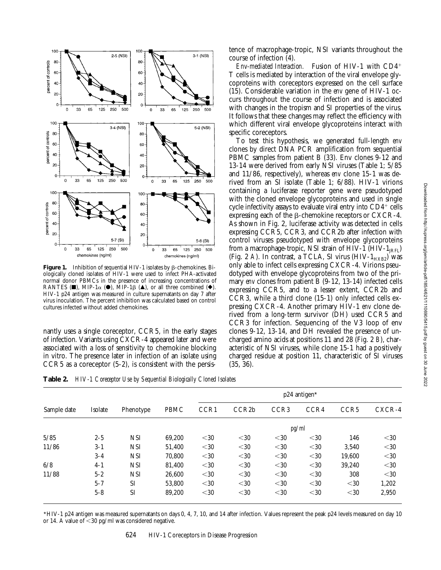

**Figure 1.** Inhibition of sequential HIV-1 isolates by  $\beta$ -chemokines. Biologically cloned isolates of HIV-1 were used to infect PHA-activated normal donor PBMCs in the presence of increasing concentrations of RANTES ( $\blacksquare$ ), MIP-1 $\alpha$  ( $\blacksquare$ ), MIP-1 $\beta$  ( $\blacktriangle$ ), or all three combined ( $\blacklozenge$ ). HIV-1 p24 antigen was measured in culture supernatants on day 7 after virus inoculation. The percent inhibition was calculated based on control cultures infected without added chemokines.

nantly uses a single coreceptor, CCR5, in the early stages of infection. Variants using CXCR-4 appeared later and were associated with a loss of sensitivity to chemokine blocking in vitro. The presence later in infection of an isolate using CCR5 as a coreceptor (5-2), is consistent with the persistence of macrophage-tropic, NSI variants throughout the course of infection (4).

*Env-mediated Interaction.* Fusion of HIV-1 with CD4<sup>+</sup> T cells is mediated by interaction of the viral envelope glycoproteins with coreceptors expressed on the cell surface (15). Considerable variation in the *env* gene of HIV-1 occurs throughout the course of infection and is associated with changes in the tropism and SI properties of the virus. It follows that these changes may reflect the efficiency with which different viral envelope glycoproteins interact with specific coreceptors.

To test this hypothesis, we generated full-length *env* clones by direct DNA PCR amplification from sequential PBMC samples from patient B (33). Env clones 9-12 and 13-14 were derived from early NSI viruses (Table 1; 5/85 and 11/86, respectively), whereas *env* clone 15-1 was derived from an SI isolate (Table 1; 6/88). HIV-1 virions containing a luciferase reporter gene were pseudotyped with the cloned envelope glycoproteins and used in single cycle infectivity assays to evaluate viral entry into  $CD4^+$  cells expressing each of the  $\beta$ -chemokine receptors or CXCR-4. As shown in Fig. 2, luciferase activity was detected in cells expressing CCR5, CCR3, and CCR2b after infection with control viruses pseudotyped with envelope glycoproteins from a macrophage-tropic, NSI strain of HIV-1 (HIV-1 $_{\text{IRF}}$ ) (Fig. 2 A). In contrast, a TCLA, SI virus (HIV-1<sub>HXB2</sub>) was only able to infect cells expressing CXCR-4. Virions pseudotyped with envelope glycoproteins from two of the primary *env* clones from patient B (9-12, 13-14) infected cells expressing CCR5, and to a lesser extent, CCR2b and CCR3, while a third clone (15-1) only infected cells expressing CXCR-4. Another primary HIV-1 *env* clone derived from a long-term survivor (DH) used CCR5 and CCR3 for infection. Sequencing of the V3 loop of env clones 9-12, 13-14, and DH revealed the presence of uncharged amino acids at positions 11 and 28 (Fig. 2 *B*), characteristic of NSI viruses, while clone 15-1 had a positively charged residue at position 11, characteristic of SI viruses (35, 36).

**Table 2.** *HIV-1 Coreceptor Use by Sequential Biologically Cloned Isolates*

|             | Isolate | Phenotype  | PBMC   | p24 antigen* |                    |                  |        |                  |        |  |
|-------------|---------|------------|--------|--------------|--------------------|------------------|--------|------------------|--------|--|
| Sample date |         |            |        | CCR1         | CCR <sub>2</sub> b | CCR <sub>3</sub> | CCR4   | CCR <sub>5</sub> | CXCR-4 |  |
|             |         |            |        | pg/ml        |                    |                  |        |                  |        |  |
| 5/85        | $2 - 5$ | <b>NSI</b> | 69.200 | $30$         | $<$ 30             | $30$             | $30$   | 146              | $<$ 30 |  |
| 11/86       | $3-1$   | <b>NSI</b> | 51.400 | $30$         | $<$ 30             | $<$ 30           | $30$   | 3.540            | $<$ 30 |  |
|             | $3-4$   | <b>NSI</b> | 70.800 | $30$         | $<$ 30             | $<$ 30           | $30$   | 19,600           | $<$ 30 |  |
| 6/8         | $4 - 1$ | <b>NSI</b> | 81.400 | $<$ 30       | $<$ 30             | $<$ 30           | $<$ 30 | 39,240           | $<$ 30 |  |
| 11/88       | $5 - 2$ | <b>NSI</b> | 26,600 | $<$ 30       | $<$ 30             | $<$ 30           | $<$ 30 | 308              | $<$ 30 |  |
|             | $5 - 7$ | SI         | 53.800 | $30$         | $<$ 30             | $<$ 30           | $30$   | $30$             | 1,202  |  |
|             | $5 - 8$ | SI         | 89,200 | $30$         | $<$ 30             | $<$ 30           | $30$   | $<$ 30           | 2,950  |  |

\*HIV-1 p24 antigen was measured supernatants on days 0, 4, 7, 10, and 14 after infection. Values represent the peak p24 levels measured on day 10 or 14. A value of  $<$  30 pg/ml was considered negative.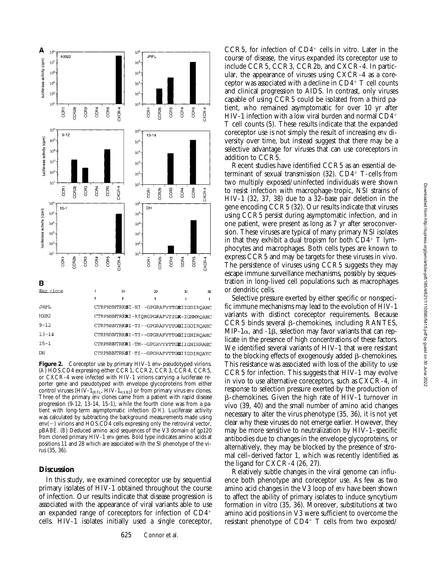

Figure 2. Coreceptor use by primary HIV-1 env-pseudotyped virions. (*A*) HOS.CD4 expressing either CCR1, CCR2, CCR3, CCR4, CCR5, or CXCR-4 were infected with HIV-1 virions carrying a luciferase reporter gene and pseudotyped with envelope glycoproteins from either control viruses (HIV-1<sub>JRFL</sub>, HIV-1<sub>HXB2</sub>) or from primary virus *env* clones. Three of the primary *env* clones came from a patient with rapid disease progression (9-12, 13-14, 15-1), while the fourth clone was from a patient with long-term asymptomatic infection (*DH*). Luciferase activity was calculated by subtracting the background measurements made using  $env(-)$  virions and HOS.CD4 cells expressing only the retroviral vector, pBABE. (*B*) Deduced amino acid sequences of the V3 domain of gp120 from cloned primary HIV-1 *env* genes. Bold type indicates amino acids at positions 11 and 28 which are associated with the SI phenotype of the virus (35, 36).

#### **Discussion**

In this study, we examined coreceptor use by sequential primary isolates of HIV-1 obtained throughout the course of infection. Our results indicate that disease progression is associated with the appearance of viral variants able to use an expanded range of coreceptors for infection of  $CD4<sup>+</sup>$ cells. HIV-1 isolates initially used a single coreceptor,

 $CCR5$ , for infection of  $CD4^+$  cells in vitro. Later in the course of disease, the virus expanded its coreceptor use to include CCR5, CCR3, CCR2b, and CXCR-4. In particular, the appearance of viruses using CXCR-4 as a coreceptor was associated with a decline in  $CD4^+$  T cell counts and clinical progression to AIDS. In contrast, only viruses capable of using CCR5 could be isolated from a third patient, who remained asymptomatic for over 10 yr after HIV-1 infection with a low viral burden and normal  $CD4^+$ T cell counts (5). These results indicate that the expanded coreceptor use is not simply the result of increasing *env* diversity over time, but instead suggest that there may be a selective advantage for viruses that can use coreceptors in addition to CCR5.

Recent studies have identified CCR5 as an essential determinant of sexual transmission  $(32)$ . CD4<sup>+</sup> T-cells from two multiply exposed/uninfected individuals were shown to resist infection with macrophage-tropic, NSI strains of HIV-1 (32, 37, 38) due to a 32–base pair deletion in the gene encoding CCR5 (32). Our results indicate that viruses using CCR5 persist during asymptomatic infection, and in one patient, were present as long as 7 yr after seroconversion. These viruses are typical of many primary NSI isolates in that they exhibit a dual tropism for both  $CD4^+$  T lymphocytes and macrophages. Both cells types are known to express CCR5 and may be targets for these viruses in vivo. The persistence of viruses using CCR5 suggests they may escape immune surveillance mechanisms, possibly by sequestration in long-lived cell populations such as macrophages or dendritic cells.

Selective pressure exerted by either specific or nonspecific immune mechanisms may lead to the evolution of HIV-1 variants with distinct coreceptor requirements. Because  $CCR5$  binds several  $\beta$ -chemokines, including RANTES, MIP-1 $\alpha$ , and -1 $\beta$ , selection may favor variants that can replicate in the presence of high concentrations of these factors. We identified several variants of HIV-1 that were resistant to the blocking effects of exogenously added  $\beta$ -chemokines. This resistance was associated with loss of the ability to use CCR5 for infection. This suggests that HIV-1 may evolve in vivo to use alternative coreceptors, such as CXCR-4, in response to selection pressure exerted by the production of  $\beta$ -chemokines. Given the high rate of HIV-1 turnover in vivo (39, 40) and the small number of amino acid changes necessary to alter the virus phenotype (35, 36), it is not yet clear why these viruses do not emerge earlier. However, they may be more sensitive to neutralization by HIV-1–specific antibodies due to changes in the envelope glycoproteins, or alternatively, they may be blocked by the presence of stromal cell–derived factor 1, which was recently identified as the ligand for CXCR-4 (26, 27).

Relatively subtle changes in the viral genome can influence both phenotype and coreceptor use. As few as two amino acid changes in the V3 loop of *env* have been shown to affect the ability of primary isolates to induce syncytium formation in vitro (35, 36). Moreover, substitutions at two amino acid positions in V3 were sufficient to overcome the resistant phenotype of  $CD4^+$  T cells from two exposed/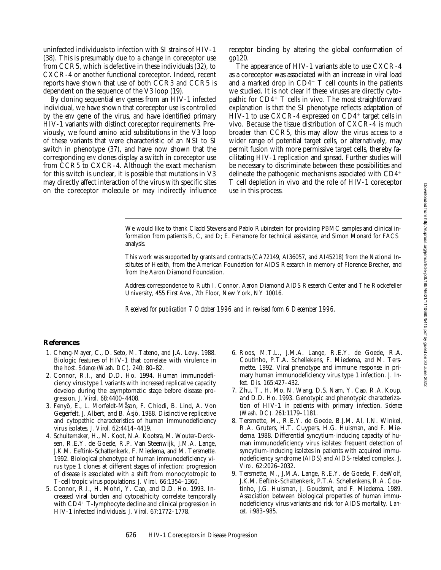Downloaded from http://rupress.org/jem/article-pdf/185/4/621/1110690/5415.pdf by guest on 30 June 2022

uninfected individuals to infection with SI strains of HIV-1 (38). This is presumably due to a change in coreceptor use from CCR5, which is defective in these individuals (32), to CXCR-4 or another functional coreceptor. Indeed, recent reports have shown that use of both CCR3 and CCR5 is dependent on the sequence of the V3 loop (19).

By cloning sequential *env* genes from an HIV-1 infected individual, we have shown that coreceptor use is controlled by the *env* gene of the virus, and have identified primary HIV-1 variants with distinct coreceptor requirements. Previously, we found amino acid substitutions in the V3 loop of these variants that were characteristic of an NSI to SI switch in phenotype (37), and have now shown that the corresponding *env* clones display a switch in coreceptor use from CCR5 to CXCR-4. Although the exact mechanism for this switch is unclear, it is possible that mutations in V3 may directly affect interaction of the virus with specific sites on the coreceptor molecule or may indirectly influence

receptor binding by altering the global conformation of gp120.

The appearance of HIV-1 variants able to use CXCR-4 as a coreceptor was associated with an increase in viral load and a marked drop in  $CD4^+$  T cell counts in the patients we studied. It is not clear if these viruses are directly cytopathic for  $CD4+T$  cells in vivo. The most straightforward explanation is that the SI phenotype reflects adaptation of HIV-1 to use CXCR-4 expressed on  $CD4^+$  target cells in vivo. Because the tissue distribution of CXCR-4 is much broader than CCR5, this may allow the virus access to a wider range of potential target cells, or alternatively, may permit fusion with more permissive target cells, thereby facilitating HIV-1 replication and spread. Further studies will be necessary to discriminate between these possibilities and delineate the pathogenic mechanisms associated with  $CD4<sup>+</sup>$ T cell depletion in vivo and the role of HIV-1 coreceptor use in this process.

We would like to thank Cladd Stevens and Pablo Rubinstein for providing PBMC samples and clinical information from patients B, C, and D; E. Fenamore for technical assistance, and Simon Monard for FACS analysis.

This work was supported by grants and contracts (CA72149, AI36057, and AI45218) from the National Institutes of Health, from the American Foundation for AIDS Research in memory of Florence Brecher, and from the Aaron Diamond Foundation.

Address correspondence to Ruth I. Connor, Aaron Diamond AIDS Research Center and The Rockefeller University, 455 First Ave., 7th Floor, New York, NY 10016.

*Received for publication 7 October 1996 and in revised form 6 December 1996.*

## **References**

- 1. Cheng-Mayer, C., D. Seto, M. Tateno, and J.A. Levy. 1988. Biologic features of HIV-1 that correlate with virulence in the host. *Science (Wash. DC).* 240: 80–82.
- 2. Connor, R.I., and D.D. Ho. 1994. Human immunodeficiency virus type 1 variants with increased replicative capacity develop during the asymptomatic stage before disease progression. *J. Virol.* 68:4400–4408.
- 3. Fenyö, E., L. Morfeldt-Måson, F. Chiodi, B. Lind, A. Von Gegerfelt, J. Albert, and B. Åsjö. 1988. Distinctive replicative and cytopathic characteristics of human immunodeficiency virus isolates. *J. Virol.* 62:4414–4419.
- 4. Schuitemaker, H., M. Koot, N.A. Kootsra, M. Wouter-Dercksen, R.E.Y. de Goede, R.P. Van Steenwijk, J.M.A. Lange, J.K.M. Eeftink-Schattenkerk, F. Miedema, and M. Tersmette. 1992. Biological phenotype of human immunodeficiency virus type 1 clones at different stages of infection: progression of disease is associated with a shift from monocytotropic to T-cell tropic virus populations. *J. Virol.* 66:1354–1360.
- 5. Connor, R.I., H. Mohri, Y. Cao, and D.D. Ho. 1993. Increased viral burden and cytopathicity correlate temporally with CD4+ T-lymphocyte decline and clinical progression in HIV-1 infected individuals. *J. Virol.* 67:1772–1778.
- 6. Roos, M.T.L., J.M.A. Lange, R.E.Y. de Goede, R.A. Coutinho, P.T.A. Schellekens, F. Miedema, and M. Tersmette. 1992. Viral phenotype and immune response in primary human immunodeficiency virus type 1 infection. *J. Infect. Dis.* 165:427–432.
- 7. Zhu, T., H. Mo, N. Wang, D.S. Nam, Y. Cao, R.A. Koup, and D.D. Ho. 1993. Genotypic and phenotypic characterization of HIV-1 in patients with primary infection. *Science (Wash. DC).* 261:1179–1181.
- 8. Tersmette, M., R.E.Y. de Goede, B.J.M. Al, I.N. Winkel, R.A. Gruters, H.T. Cuypers, H.G. Huisman, and F. Miedema. 1988. Differential syncytium-inducing capacity of human immunodeficiency virus isolates: frequent detection of syncytium-inducing isolates in patients with acquired immunodeficiency syndrome (AIDS) and AIDS-related complex. *J. Virol.* 62:2026–2032.
- 9. Tersmette, M., J.M.A. Lange, R.E.Y. de Goede, F. deWolf, J.K.M. Eeftink-Schattenkerk, P.T.A. Schellenkens, R.A. Coutinho, J.G. Huisman, J. Goudsmit, and F. Miedema. 1989. Association between biological properties of human immunodeficiency virus variants and risk for AIDS mortality. *Lancet.* i:983–985.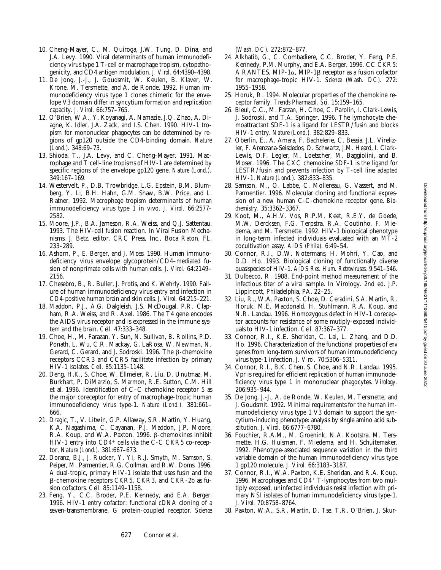- 10. Cheng-Mayer, C., M. Quiroga, J.W. Tung, D. Dina, and J.A. Levy. 1990. Viral determinants of human immunodeficiency virus type 1 T-cell or macrophage tropism, cytopathogenicity, and CD4 antigen modulation. *J. Virol.* 64:4390–4398.
- 11. De Jong, J.-J., J. Goudsmit, W. Keulen, B. Klaver, W. Krone, M. Tersmette, and A. de Ronde. 1992. Human immunodeficiency virus type 1 clones chimeric for the envelope V3 domain differ in syncytium formation and replication capacity. *J. Virol.* 66:757–765.
- 12. O'Brien, W.A., Y. Koyanagi, A. Namazie, J.Q. Zhao, A. Diagne, K. Idler, J.A. Zack, and I.S. Chen. 1990. HIV-1 tropism for mononuclear phagocytes can be determined by regions of gp120 outside the CD4-binding domain. *Nature (Lond.).* 348:69–73.
- 13. Shioda, T., J.A. Levy, and C. Cheng-Mayer. 1991. Macrophage and T cell–line tropisms of HIV-1 are determined by specific regions of the envelope gp120 gene. *Nature (Lond.).* 349:167–169.
- 14. Westervelt, P., D.B. Trowbridge, L.G. Epstein, B.M. Blumberg, Y. Li, B.H. Hahn, G.M. Shaw, B.W. Price, and L. Ratner. 1992. Macrophage tropism determinants of human immunodeficiency virus type 1 in vivo. *J. Virol.* 66:2577- 2582.
- 15. Moore, J.P., B.A. Jameson, R.A. Weiss, and Q.J. Sattentau. 1993. The HIV-cell fusion reaction. *In* Viral Fusion Mechanisms. J. Betz, editor. CRC Press, Inc., Boca Raton, FL. 233–289.
- 16. Ashorn, P., E. Berger, and J. Moss. 1990. Human immunodeficiency virus envelope glycoprotein/CD4–mediated fusion of nonprimate cells with human cells. *J. Virol.* 64:2149– 2156.
- 17. Chesebro, B., R. Buller, J. Protis, and K. Wehrly. 1990. Failure of human immunodeficiency virus entry and infection in CD4-positive human brain and skin cells. *J. Virol.* 64:215–221.
- 18. Maddon, P.J., A.G. Dalgleish, J.S. McDougal, P.R. Clapham, R.A. Weiss, and R. Axel. 1986. The T4 gene encodes the AIDS virus receptor and is expressed in the immune system and the brain. *Cell.* 47:333–348.
- 19. Choe, H., M. Farazan, Y. Sun, N. Sullivan, B. Rollins, P.D. Ponath, L. Wu, C.R. Mackay, G. LaRosa, W. Newman, N. Gerard, C. Gerard, and J. Sodroski. 1996. The  $\beta$ -chemokine receptors CCR3 and CCR5 facilitate infection by primary HIV-1 isolates. *Cell.* 85:1135–1148.
- 20. Deng, H.K., S. Choe, W. Ellmeier, R. Liu, D. Unutmaz, M. Burkhart, P. DiMarzio, S. Marmon, R.E. Sutton, C.M. Hill et al. 1996. Identification of C–C chemokine receptor 5 as the major coreceptor for entry of macrophage-tropic human immunodeficiency virus type-1. *Nature (Lond.).* 381:661– 666.
- 21. Dragic, T., V. Litwin, G.P. Allaway, S.R. Martin, Y. Huang, K.A. Nagashima, C. Cayanan, P.J. Maddon, J.P. Moore, R.A. Koup, and W.A. Paxton. 1996. ß-chemokines inhibit HIV-1 entry into  $CD4^+$  cells via the C-C CKR5 co-receptor. *Nature (Lond.).* 381:667–673.
- 22. Doranz, B.J., J. Rucker, Y. Yi, R.J. Smyth, M. Samson, S. Peiper, M. Parmentier, R.G. Collman, and R.W. Doms. 1996. A dual-tropic, primary HIV-1 isolate that uses fusin and the b-chemokine receptors CKR5, CKR3, and CKR-2b as fusion cofactors. *Cell.* 85:1149–1158.
- 23. Feng, Y., C.C. Broder, P.E. Kennedy, and E.A. Berger. 1996. HIV-1 entry cofactor: functional cDNA cloning of a seven-transmembrane, G protein-coupled receptor. *Science*

*(Wash. DC).* 272:872–877.

- 24. Alkhatib, G., C. Combadiere, C.C. Broder, Y. Feng, P.E. Kennedy, P.M. Murphy, and E.A. Berger. 1996. CC CKR5: A RANTES, MIP-1 $\alpha$ , MIP-1 $\beta$  receptor as a fusion cofactor for macrophage-tropic HIV-1. *Science (Wash. DC).* 272: 1955–1958.
- 25. Horuk, R. 1994. Molecular properties of the chemokine receptor family. *Trends Pharmacol. Sci.* 15:159–165.
- 26. Bleul, C.C., M. Farzan, H. Choe, C. Parolin, I. Clark-Lewis, J. Sodroski, and T.A. Springer. 1996. The lymphocyte chemoattractant SDF-1 is a ligand for LESTR/fusin and blocks HIV-1 entry. *Nature (Lond.).* 382:829–833.
- 27. Oberlin, E., A. Amara, F. Bachelerie, C. Bessia, J.L. Virelizier, F. Arenzana-Seisdedos, O. Schwartz, J.M. Heard, I. Clark-Lewis, D.F. Legler, M. Loetscher, M. Baggiolini, and B. Moser. 1996. The CXC chemokine SDF-1 is the ligand for LESTR/fusin and prevents infection by T-cell line adapted HIV-1. *Nature (Lond.).* 382:833–835.
- 28. Samson, M., O. Labbe, C. Mollereau, G. Vassert, and M. Parmentier. 1996. Molecular cloning and functional expression of a new human C-C-chemokine receptor gene. *Biochemistry.* 35:3362–3367.
- 29. Koot, M., A.H.V. Vos, R.P.M. Keet, R.E.Y. de Goede, M.W. Dercksen, F.G. Terpstra, R.A. Coutinho, F. Miedema, and M. Tersmette. 1992. HIV-1 biological phenotype in long-term infected individuals evaluated with an MT-2 cocultivation assay. *AIDS (Phila).* 6:49–54.
- 30. Connor, R.I., D.W. Notermans, H. Mohri, Y. Cao, and D.D. Ho. 1993. Biological cloning of functionally diverse quasispecies of HIV-1. *AIDS Res. Hum. Retroviruses.* 9:541–546.
- 31. Dulbecco, R. 1988. End-point method measurement of the infectious titer of a viral sample. *In* Virology. 2nd ed. J.P. Lippincott, Philadelphia, PA. 22–25.
- 32. Liu, R., W.A. Paxton, S. Choe, D. Ceradini, S.A. Martin, R. Horuk, M.E. Macdonald, H. Stuhlmann, R.A. Koup, and N.R. Landau. 1996. Homozygous defect in HIV-1 coreceptor accounts for resistance of some mutiply-exposed individuals to HIV-1 infection. *Cell.* 87:367–377.
- 33. Connor, R.I., K.E. Sheridan, C. Lai, L. Zhang, and D.D. Ho. 1996. Characterization of the functional properties of *env* genes from long-term survivors of human immunodeficiency virus type-1 infection. *J. Virol.* 70:5306–5311.
- 34. Connor, R.I., B.K. Chen, S. Choe, and N.R. Landau. 1995. Vpr is required for efficient replication of human immunodeficiency virus type 1 in mononuclear phagocytes. *Virology.* 206:935–944.
- 35. De Jong, J.-J., A. de Ronde, W. Keulen, M. Tersmette, and J. Goudsmit. 1992. Minimal requirements for the human immunodeficiency virus type 1 V3 domain to support the syncytium-inducing phenotype: analysis by single amino acid substitution. *J. Virol.* 66:6777–6780.
- 36. Fouchier, R.A.M., M. Groenink, N.A. Kootstra, M. Tersmette, H.G. Huisman, F. Miedema, and H. Schuitemaker. 1992. Phenotype-associated sequence variation in the third variable domain of the human immunodeficiency virus type 1 gp120 molecule. *J. Virol.* 66:3183–3187.
- 37. Connor, R.I., W.A. Paxton, K.E. Sheridan, and R.A. Koup. 1996. Macrophages and  $CD4+T$ -lymphocytes from two multiply exposed, uninfected individuals resist infection with primary NSI isolates of human immunodeficiency virus type-1. *J. Virol.* 70:8758–8764.
- 38. Paxton, W.A., S.R. Martin, D. Tse, T.R. O'Brien, J. Skur-